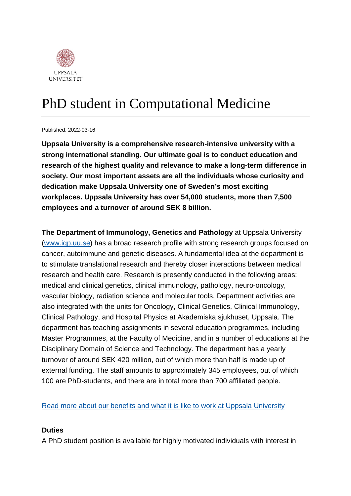

# PhD student in Computational Medicine

Published: 2022-03-16

**Uppsala University is a comprehensive research-intensive university with a strong international standing. Our ultimate goal is to conduct education and research of the highest quality and relevance to make a long-term difference in society. Our most important assets are all the individuals whose curiosity and dedication make Uppsala University one of Sweden's most exciting workplaces. Uppsala University has over 54,000 students, more than 7,500 employees and a turnover of around SEK 8 billion.**

**The Department of Immunology, Genetics and Pathology** at Uppsala University [\(www.igp.uu.se\)](http://www.igp.uu.se/) has a broad research profile with strong research groups focused on cancer, autoimmune and genetic diseases. A fundamental idea at the department is to stimulate translational research and thereby closer interactions between medical research and health care. Research is presently conducted in the following areas: medical and clinical genetics, clinical immunology, pathology, neuro-oncology, vascular biology, radiation science and molecular tools. Department activities are also integrated with the units for Oncology, Clinical Genetics, Clinical Immunology, Clinical Pathology, and Hospital Physics at Akademiska sjukhuset, Uppsala. The department has teaching assignments in several education programmes, including Master Programmes, at the Faculty of Medicine, and in a number of educations at the Disciplinary Domain of Science and Technology. The department has a yearly turnover of around SEK 420 million, out of which more than half is made up of external funding. The staff amounts to approximately 345 employees, out of which 100 are PhD-students, and there are in total more than 700 affiliated people.

[Read more about our benefits and what it is like to work at Uppsala University](https://www.uu.se/en/about-uu/join-us/)

#### **Duties**

A PhD student position is available for highly motivated individuals with interest in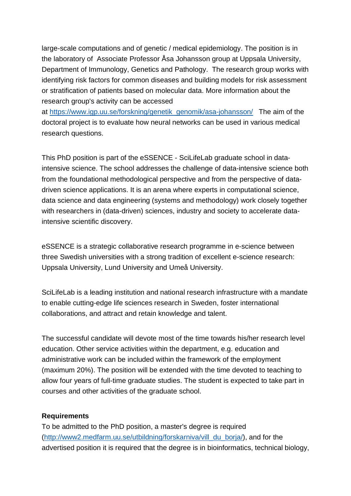large-scale computations and of genetic / medical epidemiology. The position is in the laboratory of Associate Professor Åsa Johansson group at Uppsala University, Department of Immunology, Genetics and Pathology. The research group works with identifying risk factors for common diseases and building models for risk assessment or stratification of patients based on molecular data. More information about the research group's activity can be accessed

at [https://www.igp.uu.se/forskning/genetik\\_genomik/asa-johansson/](https://www.igp.uu.se/forskning/genetik_genomik/asa-johansson/) The aim of the doctoral project is to evaluate how neural networks can be used in various medical research questions.

This PhD position is part of the eSSENCE - SciLifeLab graduate school in dataintensive science. The school addresses the challenge of data-intensive science both from the foundational methodological perspective and from the perspective of datadriven science applications. It is an arena where experts in computational science, data science and data engineering (systems and methodology) work closely together with researchers in (data-driven) sciences, industry and society to accelerate dataintensive scientific discovery.

eSSENCE is a strategic collaborative research programme in e-science between three Swedish universities with a strong tradition of excellent e-science research: Uppsala University, Lund University and Umeå University.

SciLifeLab is a leading institution and national research infrastructure with a mandate to enable cutting-edge life sciences research in Sweden, foster international collaborations, and attract and retain knowledge and talent.

The successful candidate will devote most of the time towards his/her research level education. Other service activities within the department, e.g. education and administrative work can be included within the framework of the employment (maximum 20%). The position will be extended with the time devoted to teaching to allow four years of full-time graduate studies. The student is expected to take part in courses and other activities of the graduate school.

#### **Requirements**

To be admitted to the PhD position, a master's degree is required [\(http://www2.medfarm.uu.se/utbildning/forskarniva/vill\\_du\\_borja/\)](http://www2.medfarm.uu.se/utbildning/forskarniva/vill_du_borja/), and for the advertised position it is required that the degree is in bioinformatics, technical biology,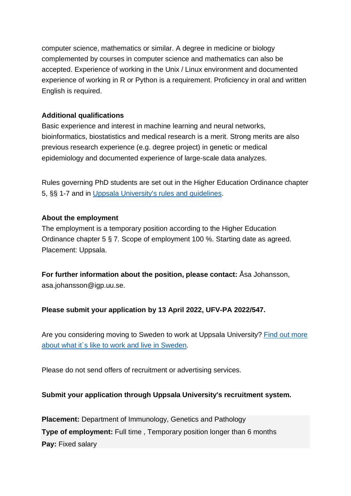computer science, mathematics or similar. A degree in medicine or biology complemented by courses in computer science and mathematics can also be accepted. Experience of working in the Unix / Linux environment and documented experience of working in R or Python is a requirement. Proficiency in oral and written English is required.

## **Additional qualifications**

Basic experience and interest in machine learning and neural networks, bioinformatics, biostatistics and medical research is a merit. Strong merits are also previous research experience (e.g. degree project) in genetic or medical epidemiology and documented experience of large-scale data analyzes.

Rules governing PhD students are set out in the Higher Education Ordinance chapter 5, §§ 1-7 and in [Uppsala University's rules and guidelines.](https://regler.uu.se/?languageId=1)

## **About the employment**

The employment is a temporary position according to the Higher Education Ordinance chapter 5 § 7*.* Scope of employment 100 %. Starting date as agreed. Placement: Uppsala.

**For further information about the position, please contact:** Åsa Johansson, asa.johansson@igp.uu.se.

# **Please submit your application by 13 April 2022, UFV-PA 2022/547.**

Are you considering moving to Sweden to work at Uppsala University? [Find out more](https://www.uu.se/en/about-uu/join-us/advantages/)  [about what it´s like to work and live in](https://www.uu.se/en/about-uu/join-us/advantages/) Sweden.

Please do not send offers of recruitment or advertising services.

# **Submit your application through Uppsala University's recruitment system.**

**Placement:** Department of Immunology, Genetics and Pathology **Type of employment:** Full time , Temporary position longer than 6 months **Pay:** Fixed salary